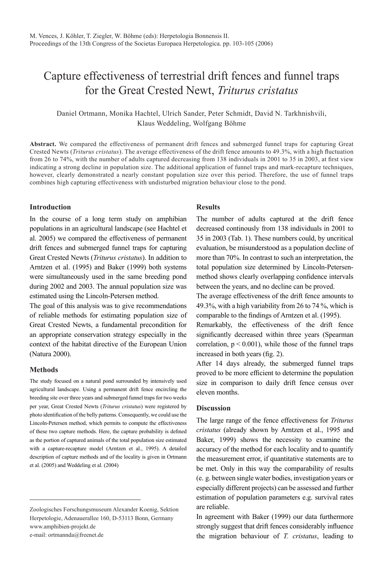# Capture effectiveness of terrestrial drift fences and funnel traps for the Great Crested Newt, *Triturus cristatus*

Daniel Ortmann, Monika Hachtel, Ulrich Sander, Peter Schmidt, David N. Tarkhnishvili, Klaus Weddeling, Wolfgang Böhme

**Abstract.** We compared the effectiveness of permanent drift fences and submerged funnel traps for capturing Great Crested Newts (*Triturus cristatus*). The average effectiveness of the drift fence amounts to 49.3%, with a high fluctuation from 26 to 74%, with the number of adults captured decreasing from 138 individuals in 2001 to 35 in 2003, at first view indicating a strong decline in population size. The additional application of funnel traps and mark-recapture techniques, however, clearly demonstrated a nearly constant population size over this period. Therefore, the use of funnel traps combines high capturing effectiveness with undisturbed migration behaviour close to the pond.

## **Introduction**

In the course of a long term study on amphibian populations in an agricultural landscape (see Hachtel et al. 2005) we compared the effectiveness of permanent drift fences and submerged funnel traps for capturing Great Crested Newts (*Triturus cristatus*). In addition to Arntzen et al. (1995) and Baker (1999) both systems were simultaneously used in the same breeding pond during 2002 and 2003. The annual population size was estimated using the Lincoln-Petersen method.

The goal of this analysis was to give recommendations of reliable methods for estimating population size of Great Crested Newts, a fundamental precondition for an appropriate conservation strategy especially in the context of the habitat directive of the European Union (Natura 2000).

#### **Methods**

The study focused on a natural pond surrounded by intensively used agricultural landscape. Using a permanent drift fence encircling the breeding site over three years and submerged funnel traps for two weeks per year, Great Crested Newts (*Triturus cristatus*) were registered by photo identification of the belly patterns. Consequently, we could use the Lincoln-Petersen method, which permits to compute the effectiveness of these two capture methods. Here, the capture probability is defined as the portion of captured animals of the total population size estimated with a capture-recapture model (Arntzen et al., 1995). A detailed description of capture methods and of the locality is given in Ortmann et al. (2005) and Weddeling et al. (2004)

### **Results**

The number of adults captured at the drift fence decreased continously from 138 individuals in 2001 to 35 in 2003 (Tab. 1). These numbers could, by uncritical evaluation, be misunderstood as a population decline of more than 70%. In contrast to such an interpretation, the total population size determined by Lincoln-Petersenmethod shows clearly overlapping confidence intervals between the years, and no decline can be proved.

The average effectiveness of the drift fence amounts to 49.3%, with a high variability from 26 to 74 %, which is comparable to the findings of Arntzen et al. (1995).

Remarkably, the effectiveness of the drift fence significantly decreased within three years (Spearman correlation,  $p < 0.001$ ), while those of the funnel traps increased in both years (fig. 2).

After 14 days already, the submerged funnel traps proved to be more efficient to determine the population size in comparison to daily drift fence census over eleven months.

#### **Discussion**

The large range of the fence effectiveness for *Triturus cristatus* (already shown by Arntzen et al., 1995 and Baker, 1999) shows the necessity to examine the accuracy of the method for each locality and to quantify the measurement error, if quantitative statements are to be met. Only in this way the comparability of results (e. g. between single water bodies, investigation years or especially different projects) can be assessed and further estimation of population parameters e.g. survival rates are reliable.

In agreement with Baker (1999) our data furthermore strongly suggest that drift fences considerably influence the migration behaviour of *T. cristatus*, leading to

Zoologisches Forschungsmuseum Alexander Koenig, Sektion Herpetologie, Adenauerallee 160, D-53113 Bonn, Germany www.amphibien-projekt.de e-mail: ortmannda@freenet.de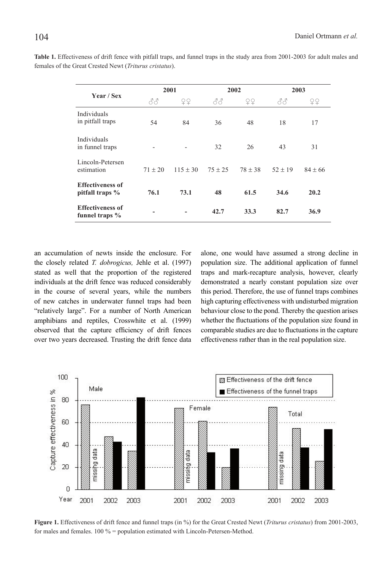| <b>Year / Sex</b>                          | 2001      |            | 2002        |           | 2003        |             |
|--------------------------------------------|-----------|------------|-------------|-----------|-------------|-------------|
|                                            | 88        | 오오         | 88          | ¥¥        | 88          | ¥¥          |
| <b>Individuals</b><br>in pitfall traps     | 54        | 84         | 36          | 48        | 18          | 17          |
| <b>Individuals</b><br>in funnel traps      |           |            | 32          | 26        | 43          | 31          |
| Lincoln-Petersen<br>estimation             | $71 + 20$ | $115 + 30$ | $75 \pm 25$ | $78 + 38$ | $52 \pm 19$ | $84 \pm 66$ |
| <b>Effectiveness of</b><br>pitfall traps % | 76.1      | 73.1       | 48          | 61.5      | 34.6        | 20.2        |
| <b>Effectiveness of</b><br>funnel traps %  |           |            | 42.7        | 33.3      | 82.7        | 36.9        |

**Table 1.** Effectiveness of drift fence with pitfall traps, and funnel traps in the study area from 2001-2003 for adult males and females of the Great Crested Newt (*Triturus cristatus*).

an accumulation of newts inside the enclosure. For the closely related *T. dobrogicus,* Jehle et al. (1997) stated as well that the proportion of the registered individuals at the drift fence was reduced considerably in the course of several years, while the numbers of new catches in underwater funnel traps had been "relatively large". For a number of North American amphibians and reptiles, Crosswhite et al. (1999) observed that the capture efficiency of drift fences over two years decreased. Trusting the drift fence data

alone, one would have assumed a strong decline in population size. The additional application of funnel traps and mark-recapture analysis, however, clearly demonstrated a nearly constant population size over this period. Therefore, the use of funnel traps combines high capturing effectiveness with undisturbed migration behaviour close to the pond. Thereby the question arises whether the fluctuations of the population size found in comparable studies are due to fluctuations in the capture effectiveness rather than in the real population size.



**Figure 1.** Effectiveness of drift fence and funnel traps (in %) for the Great Crested Newt (*Triturus cristatus*) from 2001-2003, for males and females. 100 % = population estimated with Lincoln-Petersen-Method.